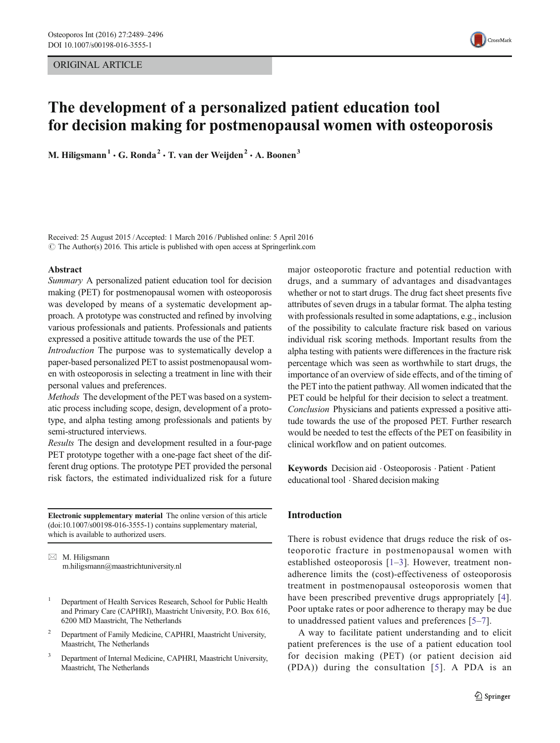

# The development of a personalized patient education tool for decision making for postmenopausal women with osteoporosis

M. Hiligsmann<sup>1</sup>  $\cdot$  G. Ronda<sup>2</sup>  $\cdot$  T. van der Weijden<sup>2</sup>  $\cdot$  A. Boonen<sup>3</sup>

Received: 25 August 2015 /Accepted: 1 March 2016 /Published online: 5 April 2016  $\odot$  The Author(s) 2016. This article is published with open access at Springerlink.com

#### Abstract

Summary A personalized patient education tool for decision making (PET) for postmenopausal women with osteoporosis was developed by means of a systematic development approach. A prototype was constructed and refined by involving various professionals and patients. Professionals and patients expressed a positive attitude towards the use of the PET.

Introduction The purpose was to systematically develop a paper-based personalized PET to assist postmenopausal women with osteoporosis in selecting a treatment in line with their personal values and preferences.

Methods The development of the PET was based on a systematic process including scope, design, development of a prototype, and alpha testing among professionals and patients by semi-structured interviews.

Results The design and development resulted in a four-page PET prototype together with a one-page fact sheet of the different drug options. The prototype PET provided the personal risk factors, the estimated individualized risk for a future

Electronic supplementary material The online version of this article (doi[:10.1007/s00198-016-3555-1](http://dx.doi.org/10.1007/s00198-016-3555-1)) contains supplementary material, which is available to authorized users.

 $\boxtimes$  M. Hiligsmann m.hiligsmann@maastrichtuniversity.nl

- <sup>1</sup> Department of Health Services Research, School for Public Health and Primary Care (CAPHRI), Maastricht University, P.O. Box 616, 6200 MD Maastricht, The Netherlands
- <sup>2</sup> Department of Family Medicine, CAPHRI, Maastricht University, Maastricht, The Netherlands
- <sup>3</sup> Department of Internal Medicine, CAPHRI, Maastricht University, Maastricht, The Netherlands

major osteoporotic fracture and potential reduction with drugs, and a summary of advantages and disadvantages whether or not to start drugs. The drug fact sheet presents five attributes of seven drugs in a tabular format. The alpha testing with professionals resulted in some adaptations, e.g., inclusion of the possibility to calculate fracture risk based on various individual risk scoring methods. Important results from the alpha testing with patients were differences in the fracture risk percentage which was seen as worthwhile to start drugs, the importance of an overview of side effects, and of the timing of the PET into the patient pathway. All women indicated that the PET could be helpful for their decision to select a treatment. Conclusion Physicians and patients expressed a positive attitude towards the use of the proposed PET. Further research would be needed to test the effects of the PET on feasibility in clinical workflow and on patient outcomes.

Keywords Decision aid . Osteoporosis . Patient . Patient educational tool . Shared decision making

## Introduction

There is robust evidence that drugs reduce the risk of osteoporotic fracture in postmenopausal women with established osteoporosis [\[1](#page-7-0)–[3\]](#page-7-0). However, treatment nonadherence limits the (cost)-effectiveness of osteoporosis treatment in postmenopausal osteoporosis women that have been prescribed preventive drugs appropriately [\[4](#page-7-0)]. Poor uptake rates or poor adherence to therapy may be due to unaddressed patient values and preferences [[5](#page-7-0)–[7](#page-7-0)].

A way to facilitate patient understanding and to elicit patient preferences is the use of a patient education tool for decision making (PET) (or patient decision aid (PDA)) during the consultation [[5\]](#page-7-0). A PDA is an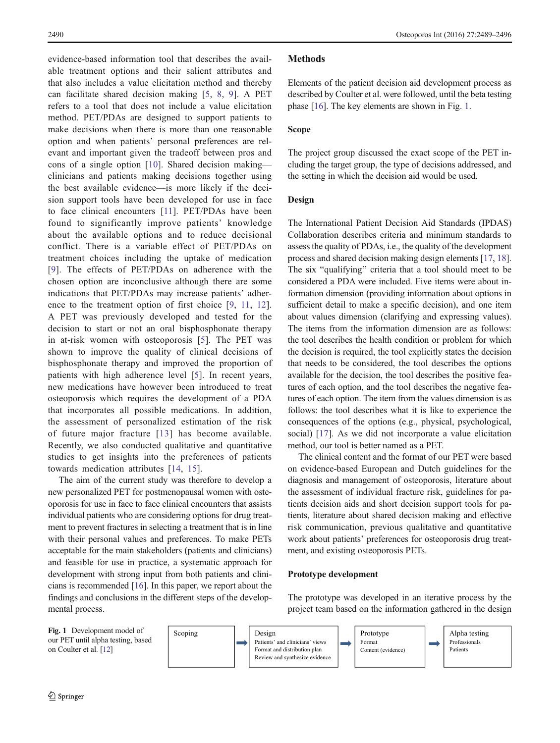evidence-based information tool that describes the available treatment options and their salient attributes and that also includes a value elicitation method and thereby can facilitate shared decision making [\[5](#page-7-0), [8,](#page-7-0) [9](#page-7-0)]. A PET refers to a tool that does not include a value elicitation method. PET/PDAs are designed to support patients to make decisions when there is more than one reasonable option and when patients' personal preferences are relevant and important given the tradeoff between pros and cons of a single option [[10\]](#page-7-0). Shared decision making clinicians and patients making decisions together using the best available evidence—is more likely if the decision support tools have been developed for use in face to face clinical encounters [\[11](#page-7-0)]. PET/PDAs have been found to significantly improve patients' knowledge about the available options and to reduce decisional conflict. There is a variable effect of PET/PDAs on treatment choices including the uptake of medication [\[9\]](#page-7-0). The effects of PET/PDAs on adherence with the chosen option are inconclusive although there are some indications that PET/PDAs may increase patients' adherence to the treatment option of first choice [[9](#page-7-0), [11](#page-7-0), [12](#page-7-0)]. A PET was previously developed and tested for the decision to start or not an oral bisphosphonate therapy in at-risk women with osteoporosis [\[5](#page-7-0)]. The PET was shown to improve the quality of clinical decisions of bisphosphonate therapy and improved the proportion of patients with high adherence level [[5\]](#page-7-0). In recent years, new medications have however been introduced to treat osteoporosis which requires the development of a PDA that incorporates all possible medications. In addition, the assessment of personalized estimation of the risk of future major fracture [[13](#page-7-0)] has become available. Recently, we also conducted qualitative and quantitative studies to get insights into the preferences of patients towards medication attributes [\[14](#page-7-0), [15\]](#page-7-0).

The aim of the current study was therefore to develop a new personalized PET for postmenopausal women with osteoporosis for use in face to face clinical encounters that assists individual patients who are considering options for drug treatment to prevent fractures in selecting a treatment that is in line with their personal values and preferences. To make PETs acceptable for the main stakeholders (patients and clinicians) and feasible for use in practice, a systematic approach for development with strong input from both patients and clinicians is recommended [[16\]](#page-7-0). In this paper, we report about the findings and conclusions in the different steps of the developmental process.

## **Methods**

Elements of the patient decision aid development process as described by Coulter et al. were followed, until the beta testing phase [\[16\]](#page-7-0). The key elements are shown in Fig. 1.

## Scope

The project group discussed the exact scope of the PET including the target group, the type of decisions addressed, and the setting in which the decision aid would be used.

#### Design

The International Patient Decision Aid Standards (IPDAS) Collaboration describes criteria and minimum standards to assess the quality of PDAs, i.e., the quality of the development process and shared decision making design elements [\[17](#page-7-0), [18\]](#page-7-0). The six "qualifying" criteria that a tool should meet to be considered a PDA were included. Five items were about information dimension (providing information about options in sufficient detail to make a specific decision), and one item about values dimension (clarifying and expressing values). The items from the information dimension are as follows: the tool describes the health condition or problem for which the decision is required, the tool explicitly states the decision that needs to be considered, the tool describes the options available for the decision, the tool describes the positive features of each option, and the tool describes the negative features of each option. The item from the values dimension is as follows: the tool describes what it is like to experience the consequences of the options (e.g., physical, psychological, social) [\[17\]](#page-7-0). As we did not incorporate a value elicitation method, our tool is better named as a PET.

The clinical content and the format of our PET were based on evidence-based European and Dutch guidelines for the diagnosis and management of osteoporosis, literature about the assessment of individual fracture risk, guidelines for patients decision aids and short decision support tools for patients, literature about shared decision making and effective risk communication, previous qualitative and quantitative work about patients' preferences for osteoporosis drug treatment, and existing osteoporosis PETs.

#### Prototype development

Fig. 1 Development model of our PET until alpha testing, based on Coulter et al. [\[12](#page-7-0)]

The prototype was developed in an iterative process by the project team based on the information gathered in the design

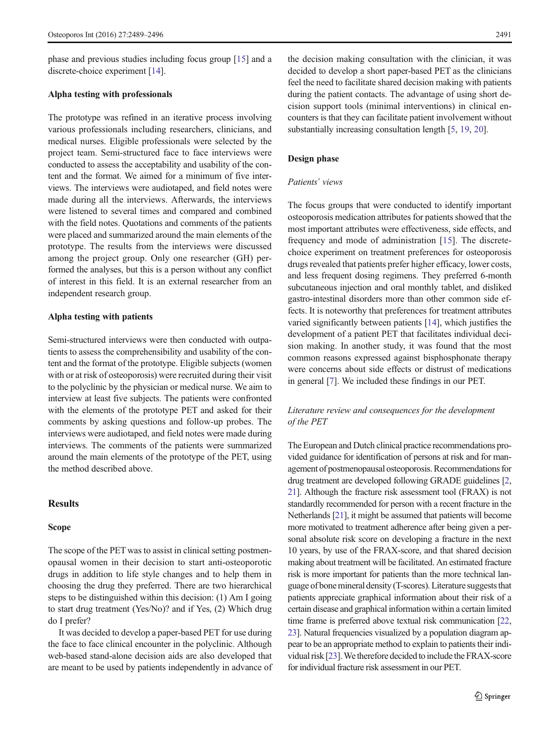phase and previous studies including focus group [[15\]](#page-7-0) and a discrete-choice experiment [\[14\]](#page-7-0).

## Alpha testing with professionals

The prototype was refined in an iterative process involving various professionals including researchers, clinicians, and medical nurses. Eligible professionals were selected by the project team. Semi-structured face to face interviews were conducted to assess the acceptability and usability of the content and the format. We aimed for a minimum of five interviews. The interviews were audiotaped, and field notes were made during all the interviews. Afterwards, the interviews were listened to several times and compared and combined with the field notes. Quotations and comments of the patients were placed and summarized around the main elements of the prototype. The results from the interviews were discussed among the project group. Only one researcher (GH) performed the analyses, but this is a person without any conflict of interest in this field. It is an external researcher from an independent research group.

## Alpha testing with patients

Semi-structured interviews were then conducted with outpatients to assess the comprehensibility and usability of the content and the format of the prototype. Eligible subjects (women with or at risk of osteoporosis) were recruited during their visit to the polyclinic by the physician or medical nurse. We aim to interview at least five subjects. The patients were confronted with the elements of the prototype PET and asked for their comments by asking questions and follow-up probes. The interviews were audiotaped, and field notes were made during interviews. The comments of the patients were summarized around the main elements of the prototype of the PET, using the method described above.

# Results

## Scope

The scope of the PET was to assist in clinical setting postmenopausal women in their decision to start anti-osteoporotic drugs in addition to life style changes and to help them in choosing the drug they preferred. There are two hierarchical steps to be distinguished within this decision: (1) Am I going to start drug treatment (Yes/No)? and if Yes, (2) Which drug do I prefer?

It was decided to develop a paper-based PET for use during the face to face clinical encounter in the polyclinic. Although web-based stand-alone decision aids are also developed that are meant to be used by patients independently in advance of

the decision making consultation with the clinician, it was decided to develop a short paper-based PET as the clinicians feel the need to facilitate shared decision making with patients during the patient contacts. The advantage of using short decision support tools (minimal interventions) in clinical encounters is that they can facilitate patient involvement without substantially increasing consultation length [[5](#page-7-0), [19](#page-7-0), [20](#page-7-0)].

## Design phase

#### Patients' views

The focus groups that were conducted to identify important osteoporosis medication attributes for patients showed that the most important attributes were effectiveness, side effects, and frequency and mode of administration [[15](#page-7-0)]. The discretechoice experiment on treatment preferences for osteoporosis drugs revealed that patients prefer higher efficacy, lower costs, and less frequent dosing regimens. They preferred 6-month subcutaneous injection and oral monthly tablet, and disliked gastro-intestinal disorders more than other common side effects. It is noteworthy that preferences for treatment attributes varied significantly between patients [[14](#page-7-0)], which justifies the development of a patient PET that facilitates individual decision making. In another study, it was found that the most common reasons expressed against bisphosphonate therapy were concerns about side effects or distrust of medications in general [\[7](#page-7-0)]. We included these findings in our PET.

## Literature review and consequences for the development of the PET

The European and Dutch clinical practice recommendations provided guidance for identification of persons at risk and for management of postmenopausal osteoporosis. Recommendations for drug treatment are developed following GRADE guidelines [\[2,](#page-7-0) [21\]](#page-7-0). Although the fracture risk assessment tool (FRAX) is not standardly recommended for person with a recent fracture in the Netherlands [[21](#page-7-0)], it might be assumed that patients will become more motivated to treatment adherence after being given a personal absolute risk score on developing a fracture in the next 10 years, by use of the FRAX-score, and that shared decision making about treatment will be facilitated. An estimated fracture risk is more important for patients than the more technical language of bone mineral density (T-scores). Literature suggests that patients appreciate graphical information about their risk of a certain disease and graphical information within a certain limited time frame is preferred above textual risk communication [\[22,](#page-7-0) [23\]](#page-7-0). Natural frequencies visualized by a population diagram appear to be an appropriate method to explain to patients their indi-vidual risk [\[23\]](#page-7-0). We therefore decided to include the FRAX-score for individual fracture risk assessment in our PET.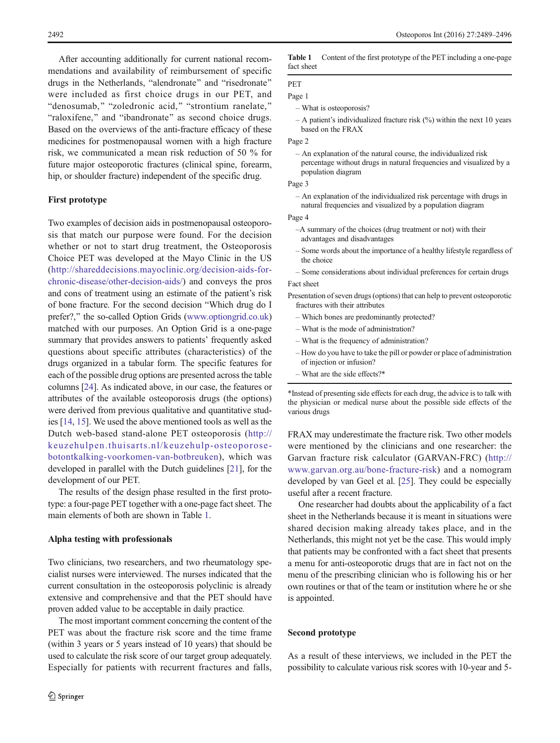After accounting additionally for current national recommendations and availability of reimbursement of specific drugs in the Netherlands, "alendronate" and "risedronate" were included as first choice drugs in our PET, and "denosumab," "zoledronic acid," "strontium ranelate," "raloxifene," and "ibandronate" as second choice drugs. Based on the overviews of the anti-fracture efficacy of these medicines for postmenopausal women with a high fracture risk, we communicated a mean risk reduction of 50 % for future major osteoporotic fractures (clinical spine, forearm, hip, or shoulder fracture) independent of the specific drug.

## First prototype

Two examples of decision aids in postmenopausal osteoporosis that match our purpose were found. For the decision whether or not to start drug treatment, the Osteoporosis Choice PET was developed at the Mayo Clinic in the US [\(http://shareddecisions.mayoclinic.org/decision-aids-for](http://shareddecisions.mayoclinic.org/decision-aids-for-chronic-disease/other-decision-aids/)[chronic-disease/other-decision-aids/](http://shareddecisions.mayoclinic.org/decision-aids-for-chronic-disease/other-decision-aids/)) and conveys the pros and cons of treatment using an estimate of the patient's risk of bone fracture. For the second decision "Which drug do I prefer?," the so-called Option Grids ([www.optiongrid.co.uk\)](http://www.optiongrid.co.uk/) matched with our purposes. An Option Grid is a one-page summary that provides answers to patients' frequently asked questions about specific attributes (characteristics) of the drugs organized in a tabular form. The specific features for each of the possible drug options are presented across the table columns [[24](#page-7-0)]. As indicated above, in our case, the features or attributes of the available osteoporosis drugs (the options) were derived from previous qualitative and quantitative studies [\[14,](#page-7-0) [15](#page-7-0)]. We used the above mentioned tools as well as the Dutch web-based stand-alone PET osteoporosis ([http://](http://keuzehulpen.thuisarts.nl/keuzehulp-osteoporose-botontkalking-voorkomen-van-botbreuken) [keuzehulpen.thuisarts.nl/keuzehulp-osteoporose](http://keuzehulpen.thuisarts.nl/keuzehulp-osteoporose-botontkalking-voorkomen-van-botbreuken)[botontkalking-voorkomen-van-botbreuken\)](http://keuzehulpen.thuisarts.nl/keuzehulp-osteoporose-botontkalking-voorkomen-van-botbreuken), which was developed in parallel with the Dutch guidelines [[21](#page-7-0)], for the development of our PET.

The results of the design phase resulted in the first prototype: a four-page PET together with a one-page fact sheet. The main elements of both are shown in Table 1.

#### Alpha testing with professionals

Two clinicians, two researchers, and two rheumatology specialist nurses were interviewed. The nurses indicated that the current consultation in the osteoporosis polyclinic is already extensive and comprehensive and that the PET should have proven added value to be acceptable in daily practice.

The most important comment concerning the content of the PET was about the fracture risk score and the time frame (within 3 years or 5 years instead of 10 years) that should be used to calculate the risk score of our target group adequately. Especially for patients with recurrent fractures and falls,

Table 1 Content of the first prototype of the PET including a one-page fact sheet

#### PET

Page 1

- What is osteoporosis?
- $A$  patient's individualized fracture risk  $(\%)$  within the next 10 years based on the FRAX

#### Page 2

– An explanation of the natural course, the individualized risk percentage without drugs in natural frequencies and visualized by a population diagram

## Page 3

– An explanation of the individualized risk percentage with drugs in natural frequencies and visualized by a population diagram

Page 4

- –A summary of the choices (drug treatment or not) with their advantages and disadvantages
- Some words about the importance of a healthy lifestyle regardless of the choice
- Some considerations about individual preferences for certain drugs

## Fact sheet

- Presentation of seven drugs (options) that can help to prevent osteoporotic fractures with their attributes
	- Which bones are predominantly protected?
	- What is the mode of administration?
	- What is the frequency of administration?
	- How do you have to take the pill or powder or place of administration of injection or infusion?
	- What are the side effects?\*

\*Instead of presenting side effects for each drug, the advice is to talk with the physician or medical nurse about the possible side effects of the various drugs

FRAX may underestimate the fracture risk. Two other models were mentioned by the clinicians and one researcher: the Garvan fracture risk calculator (GARVAN-FRC) ([http://](http://www.garvan.org.au/bone-fracture-risk) [www.garvan.org.au/bone-fracture-risk\)](http://www.garvan.org.au/bone-fracture-risk) and a nomogram developed by van Geel et al. [[25\]](#page-7-0). They could be especially useful after a recent fracture.

One researcher had doubts about the applicability of a fact sheet in the Netherlands because it is meant in situations were shared decision making already takes place, and in the Netherlands, this might not yet be the case. This would imply that patients may be confronted with a fact sheet that presents a menu for anti-osteoporotic drugs that are in fact not on the menu of the prescribing clinician who is following his or her own routines or that of the team or institution where he or she is appointed.

#### Second prototype

As a result of these interviews, we included in the PET the possibility to calculate various risk scores with 10-year and 5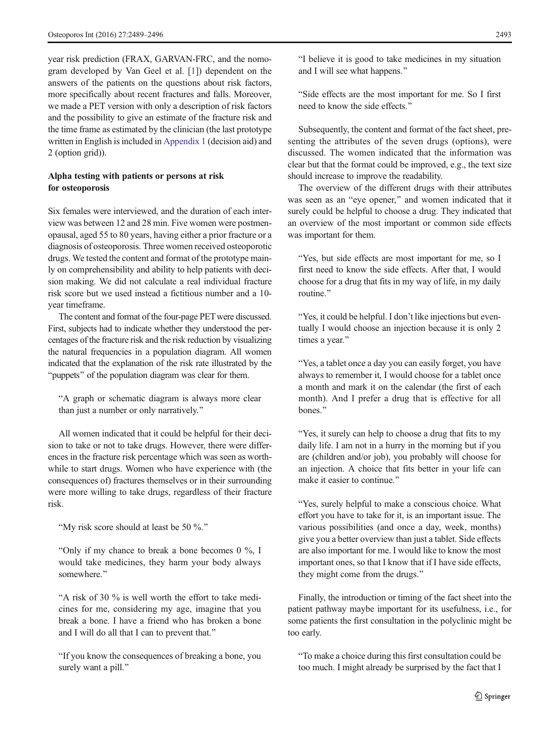year risk prediction (FRAX, GARVAN-FRC, and the nomogram developed by Van Geel et al. [\[1](#page-7-0)]) dependent on the answers of the patients on the questions about risk factors, more specifically about recent fractures and falls. Moreover, we made a PET version with only a description of risk factors and the possibility to give an estimate of the fracture risk and the time frame as estimated by the clinician (the last prototype written in English is included in Appendix 1 (decision aid) and 2 (option grid)).

# Alpha testing with patients or persons at risk for osteoporosis

Six females were interviewed, and the duration of each interview was between 12 and 28 min. Five women were postmenopausal, aged 55 to 80 years, having either a prior fracture or a diagnosis of osteoporosis. Three women received osteoporotic drugs. We tested the content and format of the prototype mainly on comprehensibility and ability to help patients with decision making. We did not calculate a real individual fracture risk score but we used instead a fictitious number and a 10 year timeframe.

The content and format of the four-page PETwere discussed. First, subjects had to indicate whether they understood the percentages of the fracture risk and the risk reduction by visualizing the natural frequencies in a population diagram. All women indicated that the explanation of the risk rate illustrated by the "puppets" of the population diagram was clear for them.

"A graph or schematic diagram is always more clear than just a number or only narratively."

All women indicated that it could be helpful for their decision to take or not to take drugs. However, there were differences in the fracture risk percentage which was seen as worthwhile to start drugs. Women who have experience with (the consequences of) fractures themselves or in their surrounding were more willing to take drugs, regardless of their fracture risk.

"My risk score should at least be 50  $\%$ ."

"Only if my chance to break a bone becomes  $0 \frac{9}{6}$ , I would take medicines, they harm your body always somewhere."

"A risk of 30 % is well worth the effort to take medicines for me, considering my age, imagine that you break a bone. I have a friend who has broken a bone and I will do all that I can to prevent that."

"If you know the consequences of breaking a bone, you surely want a pill."

"I believe it is good to take medicines in my situation and I will see what happens."

"Side effects are the most important for me. So I first need to know the side effects."

Subsequently, the content and format of the fact sheet, presenting the attributes of the seven drugs (options), were discussed. The women indicated that the information was clear but that the format could be improved, e.g., the text size should increase to improve the readability.

The overview of the different drugs with their attributes was seen as an "eye opener," and women indicated that it surely could be helpful to choose a drug. They indicated that an overview of the most important or common side effects was important for them.

"Yes, but side effects are most important for me, so I first need to know the side effects. After that, I would choose for a drug that fits in my way of life, in my daily routine."

"Yes, it could be helpful. I don't like injections but eventually I would choose an injection because it is only 2 times a year."

"Yes, a tablet once a day you can easily forget, you have always to remember it, I would choose for a tablet once a month and mark it on the calendar (the first of each month). And I prefer a drug that is effective for all bones."

"Yes, it surely can help to choose a drug that fits to my daily life. I am not in a hurry in the morning but if you are (children and/or job), you probably will choose for an injection. A choice that fits better in your life can make it easier to continue."

"Yes, surely helpful to make a conscious choice. What effort you have to take for it, is an important issue. The various possibilities (and once a day, week, months) give you a better overview than just a tablet. Side effects are also important for me. I would like to know the most important ones, so that I know that if I have side effects, they might come from the drugs."

Finally, the introduction or timing of the fact sheet into the patient pathway maybe important for its usefulness, i.e., for some patients the first consultation in the polyclinic might be too early.

"To make a choice during this first consultation could be too much. I might already be surprised by the fact that I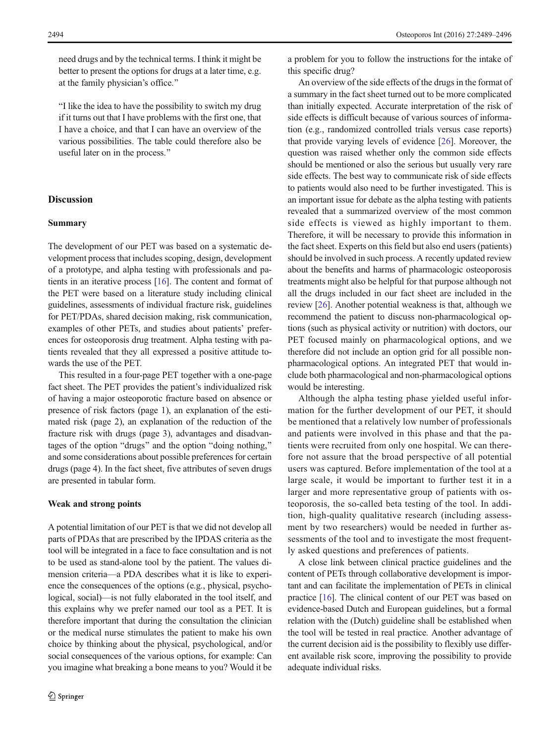need drugs and by the technical terms. I think it might be better to present the options for drugs at a later time, e.g. at the family physician's office."

"I like the idea to have the possibility to switch my drug if it turns out that I have problems with the first one, that I have a choice, and that I can have an overview of the various possibilities. The table could therefore also be useful later on in the process."

# Discussion

#### Summary

The development of our PET was based on a systematic development process that includes scoping, design, development of a prototype, and alpha testing with professionals and patients in an iterative process [\[16\]](#page-7-0). The content and format of the PET were based on a literature study including clinical guidelines, assessments of individual fracture risk, guidelines for PET/PDAs, shared decision making, risk communication, examples of other PETs, and studies about patients' preferences for osteoporosis drug treatment. Alpha testing with patients revealed that they all expressed a positive attitude towards the use of the PET.

This resulted in a four-page PET together with a one-page fact sheet. The PET provides the patient's individualized risk of having a major osteoporotic fracture based on absence or presence of risk factors (page 1), an explanation of the estimated risk (page 2), an explanation of the reduction of the fracture risk with drugs (page 3), advantages and disadvantages of the option "drugs" and the option "doing nothing," and some considerations about possible preferences for certain drugs (page 4). In the fact sheet, five attributes of seven drugs are presented in tabular form.

#### Weak and strong points

A potential limitation of our PET is that we did not develop all parts of PDAs that are prescribed by the IPDAS criteria as the tool will be integrated in a face to face consultation and is not to be used as stand-alone tool by the patient. The values dimension criteria—a PDA describes what it is like to experience the consequences of the options (e.g., physical, psychological, social)—is not fully elaborated in the tool itself, and this explains why we prefer named our tool as a PET. It is therefore important that during the consultation the clinician or the medical nurse stimulates the patient to make his own choice by thinking about the physical, psychological, and/or social consequences of the various options, for example: Can you imagine what breaking a bone means to you? Would it be a problem for you to follow the instructions for the intake of this specific drug?

An overview of the side effects of the drugs in the format of a summary in the fact sheet turned out to be more complicated than initially expected. Accurate interpretation of the risk of side effects is difficult because of various sources of information (e.g., randomized controlled trials versus case reports) that provide varying levels of evidence [\[26](#page-7-0)]. Moreover, the question was raised whether only the common side effects should be mentioned or also the serious but usually very rare side effects. The best way to communicate risk of side effects to patients would also need to be further investigated. This is an important issue for debate as the alpha testing with patients revealed that a summarized overview of the most common side effects is viewed as highly important to them. Therefore, it will be necessary to provide this information in the fact sheet. Experts on this field but also end users (patients) should be involved in such process. A recently updated review about the benefits and harms of pharmacologic osteoporosis treatments might also be helpful for that purpose although not all the drugs included in our fact sheet are included in the review [\[26](#page-7-0)]. Another potential weakness is that, although we recommend the patient to discuss non-pharmacological options (such as physical activity or nutrition) with doctors, our PET focused mainly on pharmacological options, and we therefore did not include an option grid for all possible nonpharmacological options. An integrated PET that would include both pharmacological and non-pharmacological options would be interesting.

Although the alpha testing phase yielded useful information for the further development of our PET, it should be mentioned that a relatively low number of professionals and patients were involved in this phase and that the patients were recruited from only one hospital. We can therefore not assure that the broad perspective of all potential users was captured. Before implementation of the tool at a large scale, it would be important to further test it in a larger and more representative group of patients with osteoporosis, the so-called beta testing of the tool. In addition, high-quality qualitative research (including assessment by two researchers) would be needed in further assessments of the tool and to investigate the most frequently asked questions and preferences of patients.

A close link between clinical practice guidelines and the content of PETs through collaborative development is important and can facilitate the implementation of PETs in clinical practice [[16\]](#page-7-0). The clinical content of our PET was based on evidence-based Dutch and European guidelines, but a formal relation with the (Dutch) guideline shall be established when the tool will be tested in real practice. Another advantage of the current decision aid is the possibility to flexibly use different available risk score, improving the possibility to provide adequate individual risks.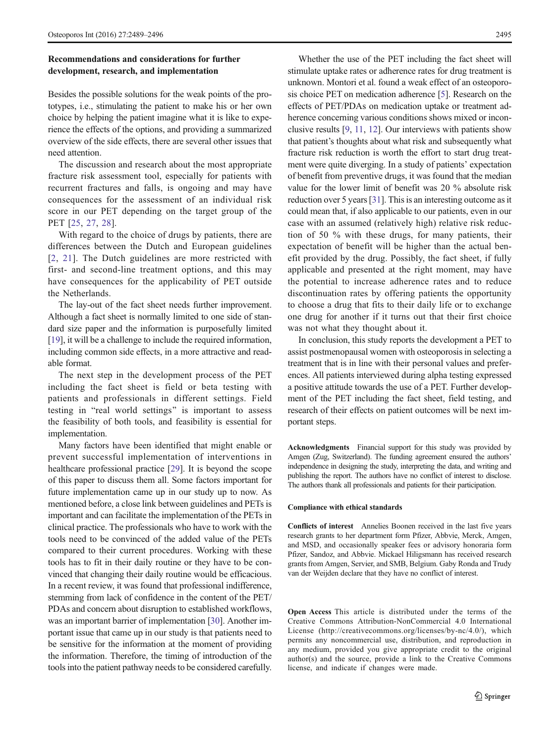# Recommendations and considerations for further development, research, and implementation

Besides the possible solutions for the weak points of the prototypes, i.e., stimulating the patient to make his or her own choice by helping the patient imagine what it is like to experience the effects of the options, and providing a summarized overview of the side effects, there are several other issues that need attention.

The discussion and research about the most appropriate fracture risk assessment tool, especially for patients with recurrent fractures and falls, is ongoing and may have consequences for the assessment of an individual risk score in our PET depending on the target group of the PET [[25,](#page-7-0) [27](#page-7-0), [28](#page-7-0)].

With regard to the choice of drugs by patients, there are differences between the Dutch and European guidelines [\[2,](#page-7-0) [21](#page-7-0)]. The Dutch guidelines are more restricted with first- and second-line treatment options, and this may have consequences for the applicability of PET outside the Netherlands.

The lay-out of the fact sheet needs further improvement. Although a fact sheet is normally limited to one side of standard size paper and the information is purposefully limited [\[19\]](#page-7-0), it will be a challenge to include the required information, including common side effects, in a more attractive and readable format.

The next step in the development process of the PET including the fact sheet is field or beta testing with patients and professionals in different settings. Field testing in "real world settings" is important to assess the feasibility of both tools, and feasibility is essential for implementation.

Many factors have been identified that might enable or prevent successful implementation of interventions in healthcare professional practice [[29](#page-7-0)]. It is beyond the scope of this paper to discuss them all. Some factors important for future implementation came up in our study up to now. As mentioned before, a close link between guidelines and PETs is important and can facilitate the implementation of the PETs in clinical practice. The professionals who have to work with the tools need to be convinced of the added value of the PETs compared to their current procedures. Working with these tools has to fit in their daily routine or they have to be convinced that changing their daily routine would be efficacious. In a recent review, it was found that professional indifference, stemming from lack of confidence in the content of the PET/ PDAs and concern about disruption to established workflows, was an important barrier of implementation [\[30\]](#page-7-0). Another important issue that came up in our study is that patients need to be sensitive for the information at the moment of providing the information. Therefore, the timing of introduction of the tools into the patient pathway needs to be considered carefully.

Whether the use of the PET including the fact sheet will stimulate uptake rates or adherence rates for drug treatment is unknown. Montori et al. found a weak effect of an osteoporosis choice PET on medication adherence [[5\]](#page-7-0). Research on the effects of PET/PDAs on medication uptake or treatment adherence concerning various conditions shows mixed or inconclusive results [\[9](#page-7-0), [11,](#page-7-0) [12\]](#page-7-0). Our interviews with patients show that patient's thoughts about what risk and subsequently what fracture risk reduction is worth the effort to start drug treatment were quite diverging. In a study of patients' expectation of benefit from preventive drugs, it was found that the median value for the lower limit of benefit was 20 % absolute risk reduction over 5 years [[31](#page-7-0)]. This is an interesting outcome as it could mean that, if also applicable to our patients, even in our case with an assumed (relatively high) relative risk reduction of 50 % with these drugs, for many patients, their expectation of benefit will be higher than the actual benefit provided by the drug. Possibly, the fact sheet, if fully applicable and presented at the right moment, may have the potential to increase adherence rates and to reduce discontinuation rates by offering patients the opportunity to choose a drug that fits to their daily life or to exchange one drug for another if it turns out that their first choice was not what they thought about it.

In conclusion, this study reports the development a PET to assist postmenopausal women with osteoporosis in selecting a treatment that is in line with their personal values and preferences. All patients interviewed during alpha testing expressed a positive attitude towards the use of a PET. Further development of the PET including the fact sheet, field testing, and research of their effects on patient outcomes will be next important steps.

Acknowledgments Financial support for this study was provided by Amgen (Zug, Switzerland). The funding agreement ensured the authors' independence in designing the study, interpreting the data, and writing and publishing the report. The authors have no conflict of interest to disclose. The authors thank all professionals and patients for their participation.

#### Compliance with ethical standards

Conflicts of interest Annelies Boonen received in the last five years research grants to her department form Pfizer, Abbvie, Merck, Amgen, and MSD, and occasionally speaker fees or advisory honoraria form Pfizer, Sandoz, and Abbvie. Mickael Hiligsmann has received research grants from Amgen, Servier, and SMB, Belgium. Gaby Ronda and Trudy van der Weijden declare that they have no conflict of interest.

Open Access This article is distributed under the terms of the Creative Commons Attribution-NonCommercial 4.0 International License (http://creativecommons.org/licenses/by-nc/4.0/), which permits any noncommercial use, distribution, and reproduction in any medium, provided you give appropriate credit to the original author(s) and the source, provide a link to the Creative Commons license, and indicate if changes were made.